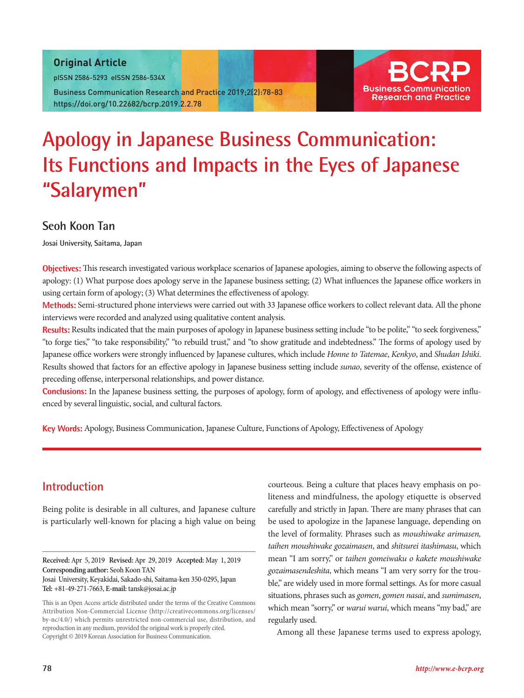### Original Article

pISSN 2586-5293 eISSN 2586-534X

Business Communication Research and Practice 2019;2(2):78-83 https://doi.org/10.22682/bcrp.2019.2.2.78



# **Apology in Japanese Business Communication: Its Functions and Impacts in the Eyes of Japanese "Salarymen"**

# **Seoh Koon Tan**

**Josai University, Saitama, Japan**

**Objectives:** This research investigated various workplace scenarios of Japanese apologies, aiming to observe the following aspects of apology: (1) What purpose does apology serve in the Japanese business setting; (2) What influences the Japanese office workers in using certain form of apology; (3) What determines the effectiveness of apology.

**Methods:** Semi-structured phone interviews were carried out with 33 Japanese office workers to collect relevant data. All the phone interviews were recorded and analyzed using qualitative content analysis.

**Results:** Results indicated that the main purposes of apology in Japanese business setting include "to be polite," "to seek forgiveness," "to forge ties," "to take responsibility," "to rebuild trust," and "to show gratitude and indebtedness." The forms of apology used by Japanese office workers were strongly influenced by Japanese cultures, which include *Honne to Tatemae*, *Kenkyo*, and *Shudan Ishiki*. Results showed that factors for an effective apology in Japanese business setting include *sunao*, severity of the offense, existence of preceding offense, interpersonal relationships, and power distance.

**Conclusions:** In the Japanese business setting, the purposes of apology, form of apology, and effectiveness of apology were influenced by several linguistic, social, and cultural factors.

**Key Words:** Apology, Business Communication, Japanese Culture, Functions of Apology, Effectiveness of Apology

## **Introduction**

Being polite is desirable in all cultures, and Japanese culture is particularly well-known for placing a high value on being

**Received:** Apr 5, 2019 **Revised:** Apr 29, 2019 **Accepted:** May 1, 2019 **Corresponding author:** Seoh Koon TAN

Josai University, Keyakidai, Sakado-shi, Saitama-ken 350-0295, Japan **Tel:** +81-49-271-7663, **E-mail:** tansk@josai.ac.jp

This is an Open Access article distributed under the terms of the Creative Commons Attribution Non-Commercial License (http://creativecommons.org/licenses/ by-nc/4.0/) which permits unrestricted non-commercial use, distribution, and reproduction in any medium, provided the original work is properly cited. Copyright © 2019 Korean Association for Business Communication.

courteous. Being a culture that places heavy emphasis on politeness and mindfulness, the apology etiquette is observed carefully and strictly in Japan. There are many phrases that can be used to apologize in the Japanese language, depending on the level of formality. Phrases such as *moushiwake arimasen, taihen moushiwake gozaimasen*, and *shitsurei itashimasu*, which mean "I am sorry," or *taihen gomeiwaku o kakete moushiwake gozaimasendeshita*, which means "I am very sorry for the trouble," are widely used in more formal settings. As for more casual situations, phrases such as *gomen*, *gomen nasai*, and *sumimasen*, which mean "sorry," or *warui warui*, which means "my bad," are regularly used.

Among all these Japanese terms used to express apology,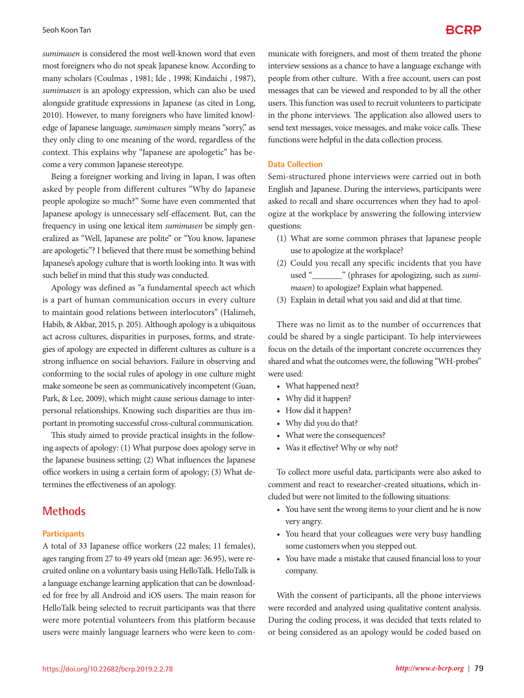*sumimasen* is considered the most well-known word that even most foreigners who do not speak Japanese know. According to many scholars (Coulmas , 1981; Ide , 1998; Kindaichi , 1987), *sumimasen* is an apology expression, which can also be used alongside gratitude expressions in Japanese (as cited in Long, 2010). However, to many foreigners who have limited knowledge of Japanese language, *sumimasen* simply means "sorry," as they only cling to one meaning of the word, regardless of the context. This explains why "Japanese are apologetic" has become a very common Japanese stereotype.

Being a foreigner working and living in Japan, I was often asked by people from different cultures "Why do Japanese people apologize so much?" Some have even commented that Japanese apology is unnecessary self-effacement. But, can the frequency in using one lexical item *sumimasen* be simply generalized as "Well, Japanese are polite" or "You know, Japanese are apologetic"? I believed that there must be something behind Japanese's apology culture that is worth looking into. It was with such belief in mind that this study was conducted.

Apology was defined as "a fundamental speech act which is a part of human communication occurs in every culture to maintain good relations between interlocutors" (Halimeh, Habib, & Akbar, 2015, p. 205). Although apology is a ubiquitous act across cultures, disparities in purposes, forms, and strategies of apology are expected in different cultures as culture is a strong influence on social behaviors. Failure in observing and conforming to the social rules of apology in one culture might make someone be seen as communicatively incompetent (Guan, Park, & Lee, 2009), which might cause serious damage to interpersonal relationships. Knowing such disparities are thus important in promoting successful cross-cultural communication.

This study aimed to provide practical insights in the following aspects of apology: (1) What purpose does apology serve in the Japanese business setting; (2) What influences the Japanese office workers in using a certain form of apology; (3) What determines the effectiveness of an apology.

### **Methods**

#### **Participants**

A total of 33 Japanese office workers (22 males; 11 females), ages ranging from 27 to 49 years old (mean age: 36.95), were recruited online on a voluntary basis using HelloTalk. HelloTalk is a language exchange learning application that can be downloaded for free by all Android and iOS users. The main reason for HelloTalk being selected to recruit participants was that there were more potential volunteers from this platform because users were mainly language learners who were keen to communicate with foreigners, and most of them treated the phone interview sessions as a chance to have a language exchange with people from other culture. With a free account, users can post messages that can be viewed and responded to by all the other users. This function was used to recruit volunteers to participate in the phone interviews. The application also allowed users to send text messages, voice messages, and make voice calls. These functions were helpful in the data collection process.

#### **Data Collection**

Semi-structured phone interviews were carried out in both English and Japanese. During the interviews, participants were asked to recall and share occurrences when they had to apologize at the workplace by answering the following interview questions:

- (1) What are some common phrases that Japanese people use to apologize at the workplace?
- (2) Could you recall any specific incidents that you have used "\_\_\_\_\_\_\_" (phrases for apologizing, such as *sumimasen*) to apologize? Explain what happened.
- (3) Explain in detail what you said and did at that time.

There was no limit as to the number of occurrences that could be shared by a single participant. To help interviewees focus on the details of the important concrete occurrences they shared and what the outcomes were, the following "WH-probes" were used:

- What happened next?
- Why did it happen?
- How did it happen?
- Why did you do that?
- What were the consequences?
- Was it effective? Why or why not?

To collect more useful data, participants were also asked to comment and react to researcher-created situations, which included but were not limited to the following situations:

- • You have sent the wrong items to your client and he is now very angry.
- You heard that your colleagues were very busy handling some customers when you stepped out.
- • You have made a mistake that caused financial loss to your company.

With the consent of participants, all the phone interviews were recorded and analyzed using qualitative content analysis. During the coding process, it was decided that texts related to or being considered as an apology would be coded based on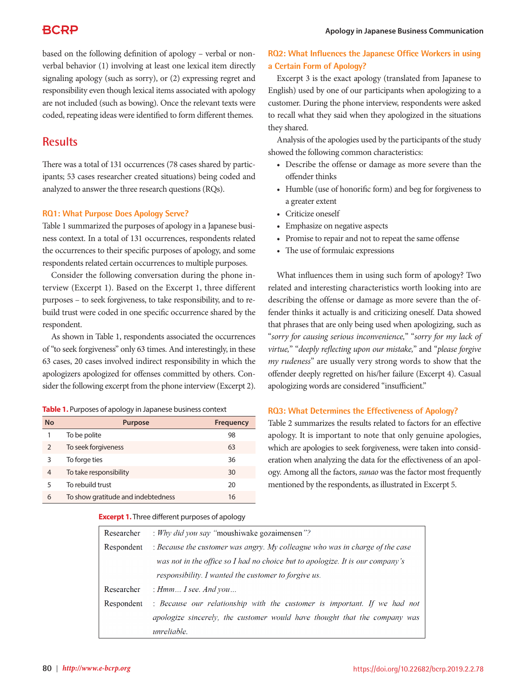# **BCRP**

based on the following definition of apology – verbal or nonverbal behavior (1) involving at least one lexical item directly signaling apology (such as sorry), or (2) expressing regret and responsibility even though lexical items associated with apology are not included (such as bowing). Once the relevant texts were coded, repeating ideas were identified to form different themes.

# **Results**

There was a total of 131 occurrences (78 cases shared by participants; 53 cases researcher created situations) being coded and analyzed to answer the three research questions (RQs).

#### **RQ1: What Purpose Does Apology Serve?**

Table 1 summarized the purposes of apology in a Japanese business context. In a total of 131 occurrences, respondents related the occurrences to their specific purposes of apology, and some respondents related certain occurrences to multiple purposes.

Consider the following conversation during the phone interview (Excerpt 1). Based on the Excerpt 1, three different purposes – to seek forgiveness, to take responsibility, and to rebuild trust were coded in one specific occurrence shared by the respondent.

As shown in Table 1, respondents associated the occurrences of "to seek forgiveness" only 63 times. And interestingly, in these 63 cases, 20 cases involved indirect responsibility in which the apologizers apologized for offenses committed by others. Consider the following excerpt from the phone interview (Excerpt 2).

| <b>No</b>      | <b>Purpose</b>                     | <b>Frequency</b> |
|----------------|------------------------------------|------------------|
| 1              | To be polite                       | 98               |
| $\overline{2}$ | To seek forgiveness                | 63               |
| 3              | To forge ties                      | 36               |
| 4              | To take responsibility             | 30               |
| 5              | To rebuild trust                   | 20               |
| 6              | To show gratitude and indebtedness | 16               |

### **RQ2: What Influences the Japanese Office Workers in using a Certain Form of Apology?**

Excerpt 3 is the exact apology (translated from Japanese to English) used by one of our participants when apologizing to a customer. During the phone interview, respondents were asked to recall what they said when they apologized in the situations they shared.

Analysis of the apologies used by the participants of the study showed the following common characteristics:

- Describe the offense or damage as more severe than the offender thinks
- Humble (use of honorific form) and beg for forgiveness to a greater extent
- • Criticize oneself
- • Emphasize on negative aspects
- Promise to repair and not to repeat the same offense
- The use of formulaic expressions

What influences them in using such form of apology? Two related and interesting characteristics worth looking into are describing the offense or damage as more severe than the offender thinks it actually is and criticizing oneself. Data showed that phrases that are only being used when apologizing, such as "*sorry for causing serious inconvenience,*" "*sorry for my lack of virtue,*" "*deeply reflecting upon our mistake,*" and "*please forgive my rudeness*" are usually very strong words to show that the offender deeply regretted on his/her failure (Excerpt 4). Casual apologizing words are considered "insufficient."

#### **RQ3: What Determines the Effectiveness of Apology?**

Table 2 summarizes the results related to factors for an effective apology. It is important to note that only genuine apologies, which are apologies to seek forgiveness, were taken into consideration when analyzing the data for the effectiveness of an apology. Among all the factors, *sunao* was the factor most frequently mentioned by the respondents, as illustrated in Excerpt 5.

#### **Excerpt 1.** Three different purposes of apology

| Researcher | : Why did you say "moushiwake gozaimensen"?                                    |  |  |
|------------|--------------------------------------------------------------------------------|--|--|
| Respondent | : Because the customer was angry. My colleague who was in charge of the case   |  |  |
|            | was not in the office so I had no choice but to apologize. It is our company's |  |  |
|            | responsibility. I wanted the customer to forgive us.                           |  |  |
| Researcher | : $Hmm$ I see. And you                                                         |  |  |
| Respondent | : Because our relationship with the customer is important. If we had not       |  |  |
|            | apologize sincerely, the customer would have thought that the company was      |  |  |
|            | unreliable.                                                                    |  |  |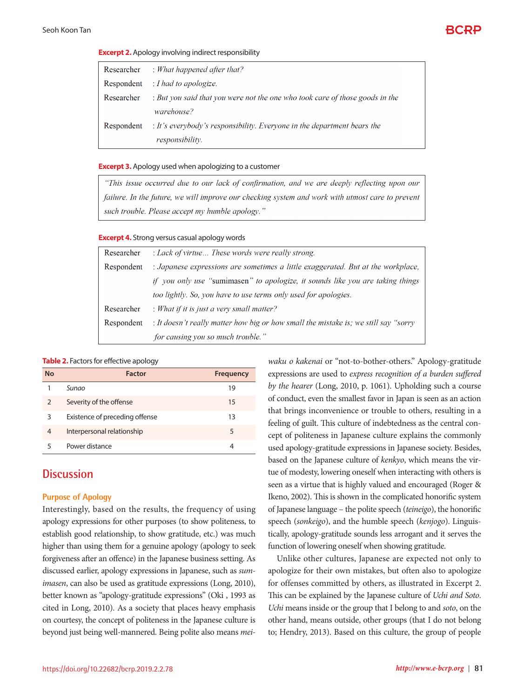

#### **Excerpt 2.** Apology involving indirect responsibility

| Researcher | $\therefore$ What happened after that?                                       |
|------------|------------------------------------------------------------------------------|
| Respondent | $\therefore$ I had to apologize.                                             |
| Researcher | : But you said that you were not the one who took care of those goods in the |
|            | warehouse?                                                                   |
| Respondent | : It's everybody's responsibility. Everyone in the department bears the      |
|            | responsibility.                                                              |

#### **Excerpt 3.** Apology used when apologizing to a customer

"This issue occurred due to our lack of confirmation, and we are deeply reflecting upon our failure. In the future, we will improve our checking system and work with utmost care to prevent such trouble. Please accept my humble apology."

#### **Excerpt 4.** Strong versus casual apology words

| Researcher | : Lack of virtue These words were really strong.                                    |  |
|------------|-------------------------------------------------------------------------------------|--|
| Respondent | : Japanese expressions are sometimes a little exaggerated. But at the workplace,    |  |
|            | if you only use "sumimasen" to apologize, it sounds like you are taking things      |  |
|            | too lightly. So, you have to use terms only used for apologies.                     |  |
| Researcher | : What if it is just a very small matter?                                           |  |
| Respondent | : It doesn't really matter how big or how small the mistake is; we still say "sorry |  |
|            | for causing you so much trouble."                                                   |  |

#### **Table 2.** Factors for effective apology

| <b>No</b>      | <b>Factor</b>                  | <b>Frequency</b> |
|----------------|--------------------------------|------------------|
|                | Sunao                          | 19               |
| $\overline{2}$ | Severity of the offense        | 15               |
| 3              | Existence of preceding offense | 13               |
| 4              | Interpersonal relationship     | 5                |
| 5              | Power distance                 | 4                |

### **Discussion**

#### **Purpose of Apology**

Interestingly, based on the results, the frequency of using apology expressions for other purposes (to show politeness, to establish good relationship, to show gratitude, etc.) was much higher than using them for a genuine apology (apology to seek forgiveness after an offence) in the Japanese business setting. As discussed earlier, apology expressions in Japanese, such as *sumimasen*, can also be used as gratitude expressions (Long, 2010), better known as "apology-gratitude expressions" (Oki , 1993 as cited in Long, 2010). As a society that places heavy emphasis on courtesy, the concept of politeness in the Japanese culture is beyond just being well-mannered. Being polite also means *mei-*

*waku o kakenai* or "not-to-bother-others." Apology-gratitude expressions are used to *express recognition of a burden suffered by the hearer* (Long, 2010, p. 1061). Upholding such a course of conduct, even the smallest favor in Japan is seen as an action that brings inconvenience or trouble to others, resulting in a feeling of guilt. This culture of indebtedness as the central concept of politeness in Japanese culture explains the commonly used apology-gratitude expressions in Japanese society. Besides, based on the Japanese culture of *kenkyo*, which means the virtue of modesty, lowering oneself when interacting with others is seen as a virtue that is highly valued and encouraged (Roger & Ikeno, 2002). This is shown in the complicated honorific system of Japanese language – the polite speech (*teineigo*), the honorific speech (*sonkeigo*), and the humble speech (*kenjogo*). Linguistically, apology-gratitude sounds less arrogant and it serves the function of lowering oneself when showing gratitude.

Unlike other cultures, Japanese are expected not only to apologize for their own mistakes, but often also to apologize for offenses committed by others, as illustrated in Excerpt 2. This can be explained by the Japanese culture of *Uchi and Soto*. *Uchi* means inside or the group that I belong to and *soto*, on the other hand, means outside, other groups (that I do not belong to; Hendry, 2013). Based on this culture, the group of people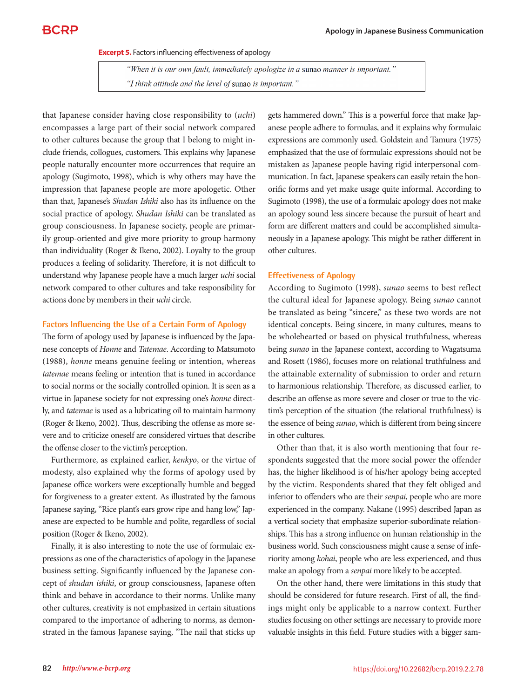**Excerpt 5.** Factors influencing effectiveness of apology

"When it is our own fault, immediately apologize in a sunao manner is important." "I think attitude and the level of sunao is important."

that Japanese consider having close responsibility to (*uchi*) encompasses a large part of their social network compared to other cultures because the group that I belong to might include friends, collogues, customers. This explains why Japanese people naturally encounter more occurrences that require an apology (Sugimoto, 1998), which is why others may have the impression that Japanese people are more apologetic. Other than that, Japanese's *Shudan Ishiki* also has its influence on the social practice of apology. *Shudan Ishiki* can be translated as group consciousness. In Japanese society, people are primarily group-oriented and give more priority to group harmony than individuality (Roger & Ikeno, 2002). Loyalty to the group produces a feeling of solidarity. Therefore, it is not difficult to understand why Japanese people have a much larger *uchi* social network compared to other cultures and take responsibility for actions done by members in their *uchi* circle.

#### **Factors Influencing the Use of a Certain Form of Apology**

The form of apology used by Japanese is influenced by the Japanese concepts of *Honne* and *Tatemae*. According to Matsumoto (1988), *honne* means genuine feeling or intention, whereas *tatemae* means feeling or intention that is tuned in accordance to social norms or the socially controlled opinion. It is seen as a virtue in Japanese society for not expressing one's *honne* directly, and *tatemae* is used as a lubricating oil to maintain harmony (Roger & Ikeno, 2002). Thus, describing the offense as more severe and to criticize oneself are considered virtues that describe the offense closer to the victim's perception.

Furthermore, as explained earlier, *kenkyo*, or the virtue of modesty, also explained why the forms of apology used by Japanese office workers were exceptionally humble and begged for forgiveness to a greater extent. As illustrated by the famous Japanese saying, "Rice plant's ears grow ripe and hang low," Japanese are expected to be humble and polite, regardless of social position (Roger & Ikeno, 2002).

Finally, it is also interesting to note the use of formulaic expressions as one of the characteristics of apology in the Japanese business setting. Significantly influenced by the Japanese concept of *shudan ishiki*, or group consciousness, Japanese often think and behave in accordance to their norms. Unlike many other cultures, creativity is not emphasized in certain situations compared to the importance of adhering to norms, as demonstrated in the famous Japanese saying, "The nail that sticks up gets hammered down." This is a powerful force that make Japanese people adhere to formulas, and it explains why formulaic expressions are commonly used. Goldstein and Tamura (1975) emphasized that the use of formulaic expressions should not be mistaken as Japanese people having rigid interpersonal communication. In fact, Japanese speakers can easily retain the honorific forms and yet make usage quite informal. According to Sugimoto (1998), the use of a formulaic apology does not make an apology sound less sincere because the pursuit of heart and form are different matters and could be accomplished simultaneously in a Japanese apology. This might be rather different in other cultures.

#### **Effectiveness of Apology**

According to Sugimoto (1998), *sunao* seems to best reflect the cultural ideal for Japanese apology. Being *sunao* cannot be translated as being "sincere," as these two words are not identical concepts. Being sincere, in many cultures, means to be wholehearted or based on physical truthfulness, whereas being *sunao* in the Japanese context, according to Wagatsuma and Rosett (1986), focuses more on relational truthfulness and the attainable externality of submission to order and return to harmonious relationship. Therefore, as discussed earlier, to describe an offense as more severe and closer or true to the victim's perception of the situation (the relational truthfulness) is the essence of being *sunao*, which is different from being sincere in other cultures.

Other than that, it is also worth mentioning that four respondents suggested that the more social power the offender has, the higher likelihood is of his/her apology being accepted by the victim. Respondents shared that they felt obliged and inferior to offenders who are their *senpai*, people who are more experienced in the company. Nakane (1995) described Japan as a vertical society that emphasize superior-subordinate relationships. This has a strong influence on human relationship in the business world. Such consciousness might cause a sense of inferiority among *kohai*, people who are less experienced, and thus make an apology from a *senpai* more likely to be accepted.

On the other hand, there were limitations in this study that should be considered for future research. First of all, the findings might only be applicable to a narrow context. Further studies focusing on other settings are necessary to provide more valuable insights in this field. Future studies with a bigger sam